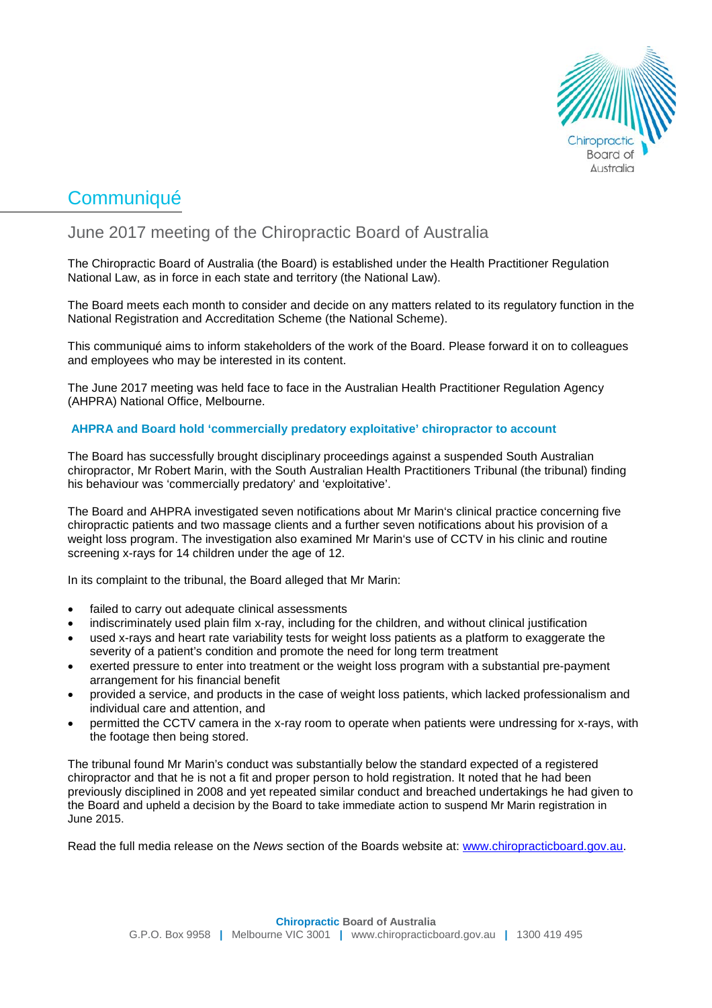

# **Communiqué**

## June 2017 meeting of the Chiropractic Board of Australia

The Chiropractic Board of Australia (the Board) is established under the Health Practitioner Regulation National Law, as in force in each state and territory (the National Law).

The Board meets each month to consider and decide on any matters related to its regulatory function in the National Registration and Accreditation Scheme (the National Scheme).

This communiqué aims to inform stakeholders of the work of the Board. Please forward it on to colleagues and employees who may be interested in its content.

The June 2017 meeting was held face to face in the Australian Health Practitioner Regulation Agency (AHPRA) National Office, Melbourne.

### **AHPRA and Board hold 'commercially predatory exploitative' chiropractor to account**

The Board has successfully brought disciplinary proceedings against a suspended South Australian chiropractor, Mr Robert Marin, with the South Australian Health Practitioners Tribunal (the tribunal) finding his behaviour was 'commercially predatory' and 'exploitative'.

The Board and AHPRA investigated seven notifications about Mr Marin's clinical practice concerning five chiropractic patients and two massage clients and a further seven notifications about his provision of a weight loss program. The investigation also examined Mr Marin's use of CCTV in his clinic and routine screening x-rays for 14 children under the age of 12.

In its complaint to the tribunal, the Board alleged that Mr Marin:

- failed to carry out adequate clinical assessments
- indiscriminately used plain film x-ray, including for the children, and without clinical justification
- used x-rays and heart rate variability tests for weight loss patients as a platform to exaggerate the severity of a patient's condition and promote the need for long term treatment
- exerted pressure to enter into treatment or the weight loss program with a substantial pre-payment arrangement for his financial benefit
- provided a service, and products in the case of weight loss patients, which lacked professionalism and individual care and attention, and
- permitted the CCTV camera in the x-ray room to operate when patients were undressing for x-rays, with the footage then being stored.

The tribunal found Mr Marin's conduct was substantially below the standard expected of a registered chiropractor and that he is not a fit and proper person to hold registration. It noted that he had been previously disciplined in 2008 and yet repeated similar conduct and breached undertakings he had given to the Board and upheld a decision by the Board to take immediate action to suspend Mr Marin registration in June 2015.

Read the full media release on the *News* section of the Boards website at: [www.chiropracticboard.gov.au.](http://www.chiropracticboard.gov.au/)